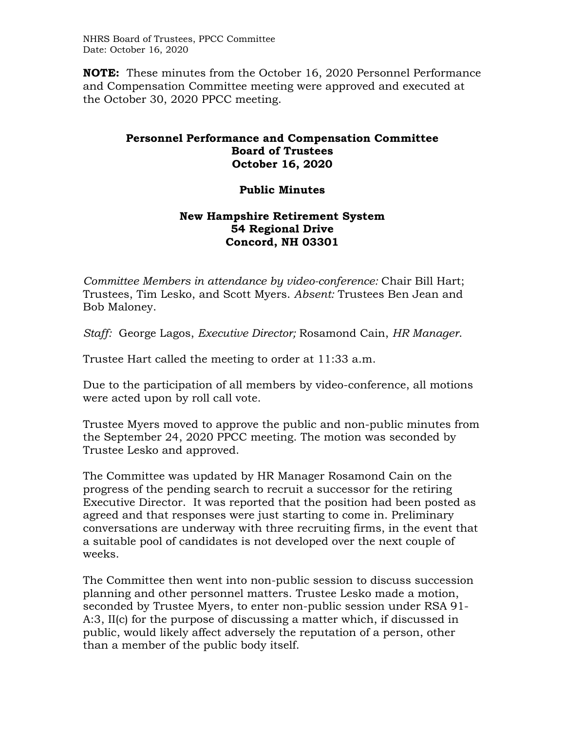NHRS Board of Trustees, PPCC Committee Date: October 16, 2020

**NOTE:** These minutes from the October 16, 2020 Personnel Performance and Compensation Committee meeting were approved and executed at the October 30, 2020 PPCC meeting.

## **Personnel Performance and Compensation Committee Board of Trustees October 16, 2020**

## **Public Minutes**

## **New Hampshire Retirement System 54 Regional Drive Concord, NH 03301**

*Committee Members in attendance by video-conference:* Chair Bill Hart; Trustees, Tim Lesko, and Scott Myers. *Absent:* Trustees Ben Jean and Bob Maloney.

*Staff:* George Lagos, *Executive Director;* Rosamond Cain, *HR Manager*.

Trustee Hart called the meeting to order at 11:33 a.m.

Due to the participation of all members by video-conference, all motions were acted upon by roll call vote.

Trustee Myers moved to approve the public and non-public minutes from the September 24, 2020 PPCC meeting. The motion was seconded by Trustee Lesko and approved.

The Committee was updated by HR Manager Rosamond Cain on the progress of the pending search to recruit a successor for the retiring Executive Director. It was reported that the position had been posted as agreed and that responses were just starting to come in. Preliminary conversations are underway with three recruiting firms, in the event that a suitable pool of candidates is not developed over the next couple of weeks.

The Committee then went into non-public session to discuss succession planning and other personnel matters. Trustee Lesko made a motion, seconded by Trustee Myers, to enter non-public session under RSA 91- A:3, II(c) for the purpose of discussing a matter which, if discussed in public, would likely affect adversely the reputation of a person, other than a member of the public body itself.